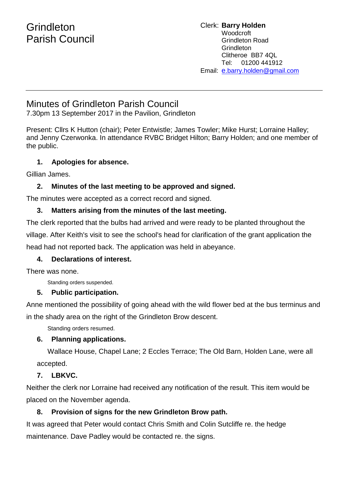# **Grindleton** Parish Council

#### Clerk: **Barry Holden** Woodcroft Grindleton Road **Grindleton** Clitheroe BB7 4QL Tel: 01200 441912 Email: [e](mailto:edwardbholden@yahoo.co.uk).barry.holden@gmail.com

## Minutes of Grindleton Parish Council

7.30pm 13 September 2017 in the Pavilion, Grindleton

Present: Cllrs K Hutton (chair); Peter Entwistle; James Towler; Mike Hurst; Lorraine Halley; and Jenny Czerwonka. In attendance RVBC Bridget Hilton; Barry Holden; and one member of the public.

## **1. Apologies for absence.**

Gillian James.

## **2. Minutes of the last meeting to be approved and signed.**

The minutes were accepted as a correct record and signed.

### **3. Matters arising from the minutes of the last meeting.**

The clerk reported that the bulbs had arrived and were ready to be planted throughout the village. After Keith's visit to see the school's head for clarification of the grant application the head had not reported back. The application was held in abeyance.

### **4. Declarations of interest.**

There was none.

Standing orders suspended.

## **5. Public participation.**

Anne mentioned the possibility of going ahead with the wild flower bed at the bus terminus and in the shady area on the right of the Grindleton Brow descent.

Standing orders resumed.

## **6. Planning applications.**

Wallace House, Chapel Lane; 2 Eccles Terrace; The Old Barn, Holden Lane, were all accepted.

## **7. LBKVC.**

Neither the clerk nor Lorraine had received any notification of the result. This item would be placed on the November agenda.

## **8. Provision of signs for the new Grindleton Brow path.**

It was agreed that Peter would contact Chris Smith and Colin Sutcliffe re. the hedge maintenance. Dave Padley would be contacted re. the signs.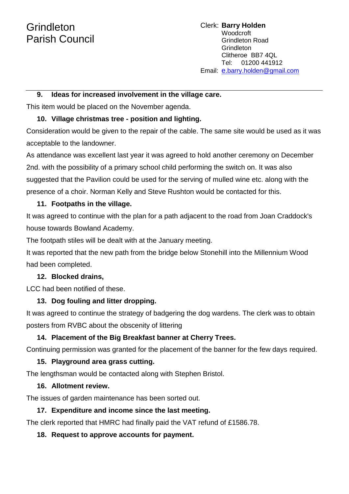# **Grindleton** Parish Council

Clerk: **Barry Holden** Woodcroft Grindleton Road Grindleton Clitheroe BB7 4QL Tel: 01200 441912 Email: [e](mailto:edwardbholden@yahoo.co.uk).barry.holden@gmail.com

#### **9. Ideas for increased involvement in the village care.**

This item would be placed on the November agenda.

#### **10. Village christmas tree - position and lighting.**

Consideration would be given to the repair of the cable. The same site would be used as it was acceptable to the landowner.

As attendance was excellent last year it was agreed to hold another ceremony on December 2nd. with the possibility of a primary school child performing the switch on. It was also suggested that the Pavilion could be used for the serving of mulled wine etc. along with the presence of a choir. Norman Kelly and Steve Rushton would be contacted for this.

#### **11. Footpaths in the village.**

It was agreed to continue with the plan for a path adjacent to the road from Joan Craddock's house towards Bowland Academy.

The footpath stiles will be dealt with at the January meeting.

It was reported that the new path from the bridge below Stonehill into the Millennium Wood had been completed.

#### **12. Blocked drains,**

LCC had been notified of these.

### **13. Dog fouling and litter dropping.**

It was agreed to continue the strategy of badgering the dog wardens. The clerk was to obtain posters from RVBC about the obscenity of littering

### **14. Placement of the Big Breakfast banner at Cherry Trees.**

Continuing permission was granted for the placement of the banner for the few days required.

### **15. Playground area grass cutting.**

The lengthsman would be contacted along with Stephen Bristol.

#### **16. Allotment review.**

The issues of garden maintenance has been sorted out.

### **17. Expenditure and income since the last meeting.**

The clerk reported that HMRC had finally paid the VAT refund of £1586.78.

### **18. Request to approve accounts for payment.**